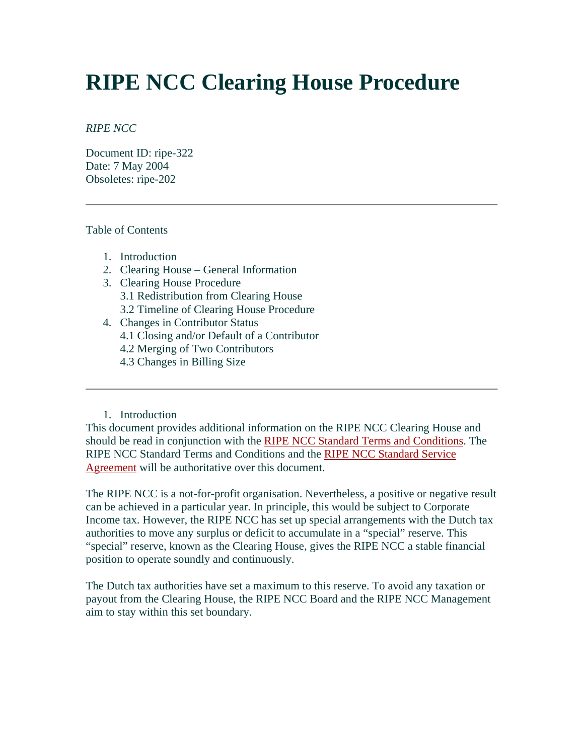# **RIPE NCC Clearing House Procedure**

#### *RIPE NCC*

Document ID: ripe-322 Date: 7 May 2004 Obsoletes: ripe-202

#### Table of Contents

- 1. Introduction
- 2. Clearing House General Information
- 3. Clearing House Procedure 3.1 Redistribution from Clearing House 3.2 Timeline of Clearing House Procedure
- 4. Changes in Contributor Status 4.1 Closing and/or Default of a Contributor
	- 4.2 Merging of Two Contributors
	- 4.3 Changes in Billing Size

#### 1. Introduction

This document provides additional information on the RIPE NCC Clearing House and should be read in conjunction with the [RIPE NCC Standard Terms and Conditions](http://www.ripe.net/ripe/docs/terms-conditions.html). The RIPE NCC Standard Terms and Conditions and the [RIPE NCC Standard Service](http://www.ripe.net/ripe/docs/service-agreement.html)  [Agreement](http://www.ripe.net/ripe/docs/service-agreement.html) will be authoritative over this document.

The RIPE NCC is a not-for-profit organisation. Nevertheless, a positive or negative result can be achieved in a particular year. In principle, this would be subject to Corporate Income tax. However, the RIPE NCC has set up special arrangements with the Dutch tax authorities to move any surplus or deficit to accumulate in a "special" reserve. This "special" reserve, known as the Clearing House, gives the RIPE NCC a stable financial position to operate soundly and continuously.

The Dutch tax authorities have set a maximum to this reserve. To avoid any taxation or payout from the Clearing House, the RIPE NCC Board and the RIPE NCC Management aim to stay within this set boundary.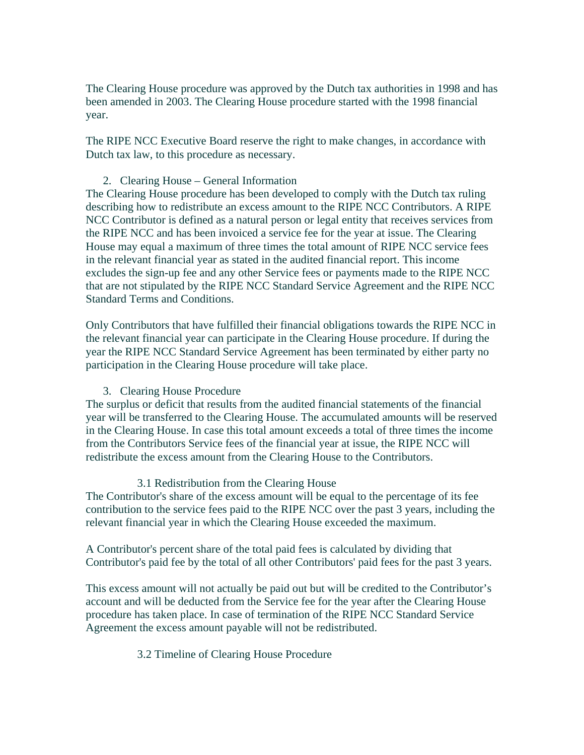The Clearing House procedure was approved by the Dutch tax authorities in 1998 and has been amended in 2003. The Clearing House procedure started with the 1998 financial year.

The RIPE NCC Executive Board reserve the right to make changes, in accordance with Dutch tax law, to this procedure as necessary.

## 2. Clearing House – General Information

The Clearing House procedure has been developed to comply with the Dutch tax ruling describing how to redistribute an excess amount to the RIPE NCC Contributors. A RIPE NCC Contributor is defined as a natural person or legal entity that receives services from the RIPE NCC and has been invoiced a service fee for the year at issue. The Clearing House may equal a maximum of three times the total amount of RIPE NCC service fees in the relevant financial year as stated in the audited financial report. This income excludes the sign-up fee and any other Service fees or payments made to the RIPE NCC that are not stipulated by the RIPE NCC Standard Service Agreement and the RIPE NCC Standard Terms and Conditions.

Only Contributors that have fulfilled their financial obligations towards the RIPE NCC in the relevant financial year can participate in the Clearing House procedure. If during the year the RIPE NCC Standard Service Agreement has been terminated by either party no participation in the Clearing House procedure will take place.

# 3. Clearing House Procedure

The surplus or deficit that results from the audited financial statements of the financial year will be transferred to the Clearing House. The accumulated amounts will be reserved in the Clearing House. In case this total amount exceeds a total of three times the income from the Contributors Service fees of the financial year at issue, the RIPE NCC will redistribute the excess amount from the Clearing House to the Contributors.

#### 3.1 Redistribution from the Clearing House

The Contributor's share of the excess amount will be equal to the percentage of its fee contribution to the service fees paid to the RIPE NCC over the past 3 years, including the relevant financial year in which the Clearing House exceeded the maximum.

A Contributor's percent share of the total paid fees is calculated by dividing that Contributor's paid fee by the total of all other Contributors' paid fees for the past 3 years.

This excess amount will not actually be paid out but will be credited to the Contributor's account and will be deducted from the Service fee for the year after the Clearing House procedure has taken place. In case of termination of the RIPE NCC Standard Service Agreement the excess amount payable will not be redistributed.

# 3.2 Timeline of Clearing House Procedure